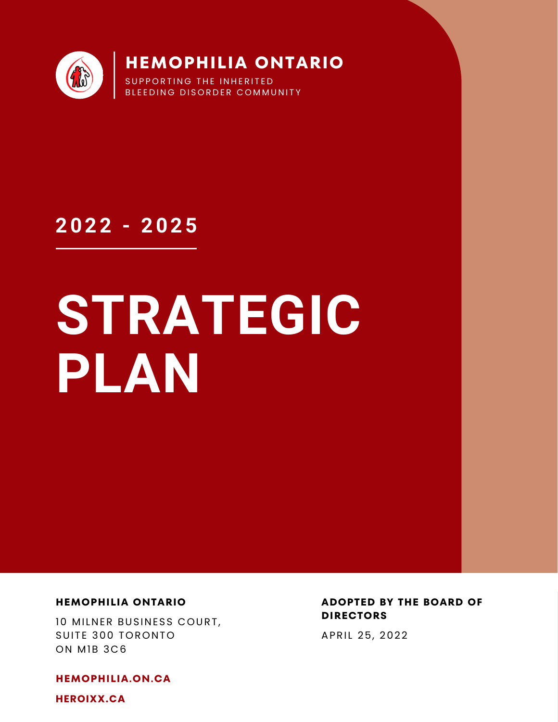

**2022 - 2025**

# **STRATEGIC PLAN**

### **HEMOPHILIA ONTARIO**

10 MILNER BUSINESS COURT, SUITE 300 TORONTO ON M1B 3C6

**HEMOPHILIA.ON.CA**

**HEROIXX.CA**

**ADOPTED BY THE BOARD OF DIRECTORS**

APRIL 25, 2022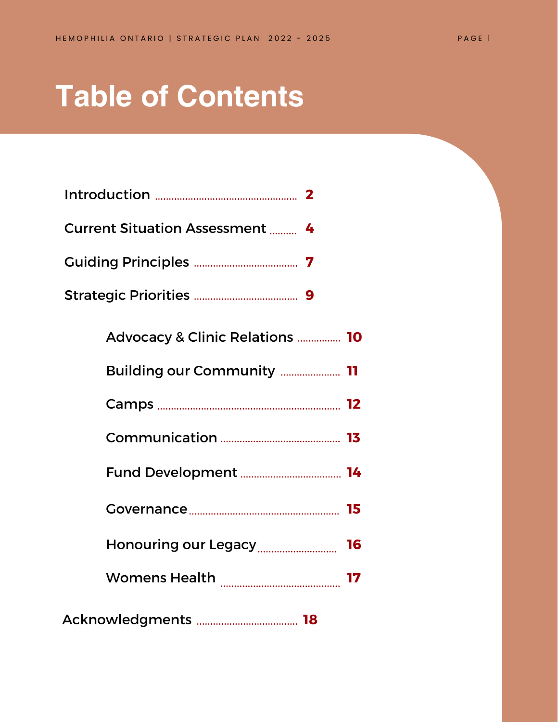## **Table of Contents**

| <b>Current Situation Assessment  4</b>     |
|--------------------------------------------|
|                                            |
|                                            |
| <b>Advocacy &amp; Clinic Relations  10</b> |
| <b>Building our Community  11</b>          |
|                                            |
|                                            |
|                                            |

|                      | 16 |
|----------------------|----|
| <b>Womens Health</b> |    |
|                      |    |

Acknowledgments **18**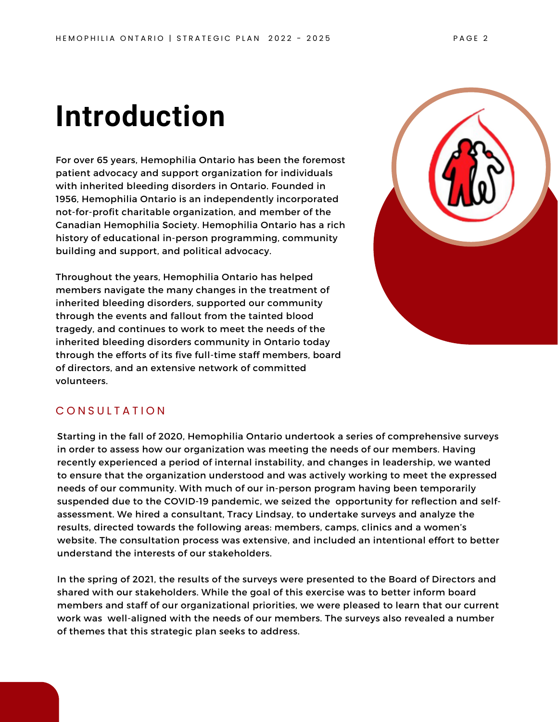## **Introduction**

For over 65 years, Hemophilia Ontario has been the foremost patient advocacy and support organization for individuals with inherited bleeding disorders in Ontario. Founded in 1956, Hemophilia Ontario is an independently incorporated not-for-profit charitable organization, and member of the Canadian Hemophilia Society. Hemophilia Ontario has a rich history of educational in-person programming, community building and support, and political advocacy.

Throughout the years, Hemophilia Ontario has helped members navigate the many changes in the treatment of inherited bleeding disorders, supported our community through the events and fallout from the tainted blood tragedy, and continues to work to meet the needs of the inherited bleeding disorders community in Ontario today through the efforts of its five full-time staff members, board of directors, and an extensive network of committed volunteers.



### CONSULTATION

Starting in the fall of 2020, Hemophilia Ontario undertook a series of comprehensive surveys in order to assess how our organization was meeting the needs of our members. Having recently experienced a period of internal instability, and changes in leadership, we wanted to ensure that the organization understood and was actively working to meet the expressed needs of our community. With much of our in-person program having been temporarily suspended due to the COVID-19 pandemic, we seized the opportunity for reflection and selfassessment. We hired a consultant, Tracy Lindsay, to undertake surveys and analyze the results, directed towards the following areas: members, camps, clinics and a women's website. The consultation process was extensive, and included an intentional effort to better understand the interests of our stakeholders.

In the spring of 2021, the results of the surveys were presented to the Board of Directors and shared with our stakeholders. While the goal of this exercise was to better inform board members and staff of our organizational priorities, we were pleased to learn that our current work was well-aligned with the needs of our members. The surveys also revealed a number of themes that this strategic plan seeks to address.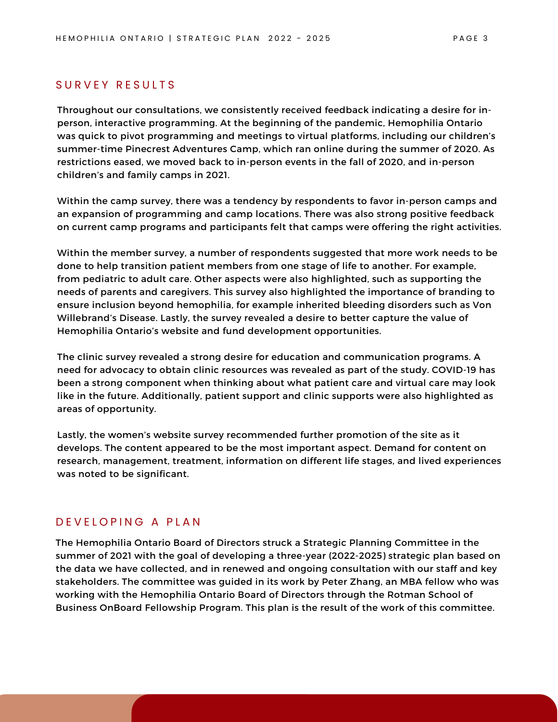### SURVEY RESULTS

Throughout our consultations, we consistently received feedback indicating a desire for inperson, interactive programming. At the beginning of the pandemic, Hemophilia Ontario was quick to pivot programming and meetings to virtual platforms, including our children's summer-time Pinecrest Adventures Camp, which ran online during the summer of 2020. As restrictions eased, we moved back to in-person events in the fall of 2020, and in-person children's and family camps in 2021.

Within the camp survey, there was a tendency by respondents to favor in-person camps and an expansion of programming and camp locations. There was also strong positive feedback on current camp programs and participants felt that camps were offering the right activities.

Within the member survey, a number of respondents suggested that more work needs to be done to help transition patient members from one stage of life to another. For example, from pediatric to adult care. Other aspects were also highlighted, such as supporting the needs of parents and caregivers. This survey also highlighted the importance of branding to ensure inclusion beyond hemophilia, for example inherited bleeding disorders such as Von Willebrand's Disease. Lastly, the survey revealed a desire to better capture the value of Hemophilia Ontario's website and fund development opportunities.

The clinic survey revealed a strong desire for education and communication programs. A need for advocacy to obtain clinic resources was revealed as part of the study. COVID-19 has been a strong component when thinking about what patient care and virtual care may look like in the future. Additionally, patient support and clinic supports were also highlighted as areas of opportunity.

Lastly, the women's website survey recommended further promotion of the site as it develops. The content appeared to be the most important aspect. Demand for content on research, management, treatment, information on different life stages, and lived experiences was noted to be significant.

### D E V E LO P IN G A PLAN

The Hemophilia Ontario Board of Directors struck a Strategic Planning Committee in the summer of 2021 with the goal of developing a three-year (2022-2025) strategic plan based on the data we have collected, and in renewed and ongoing consultation with our staff and key stakeholders. The committee was guided in its work by Peter Zhang, an MBA fellow who was working with the Hemophilia Ontario Board of Directors through the Rotman School of Business OnBoard Fellowship Program. This plan is the result of the work of this committee.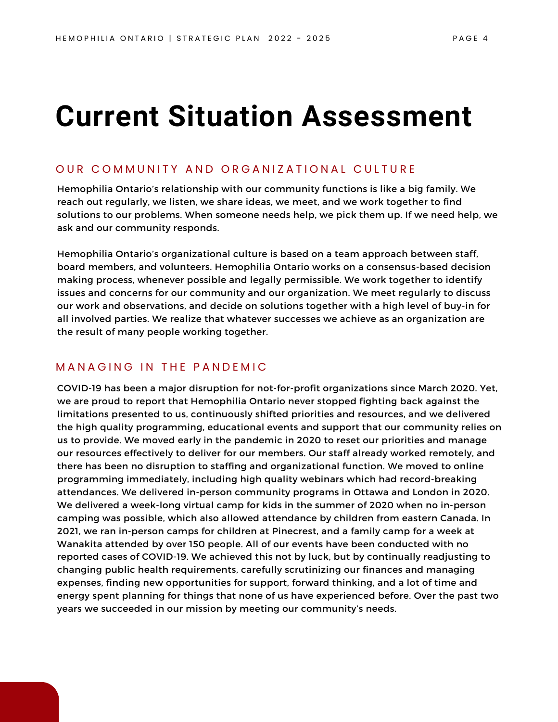## **Current Situation Assessment**

### OUR COMMUNITY AND ORGANIZATIONAL CULTURE

Hemophilia Ontario's relationship with our community functions is like a big family. We reach out regularly, we listen, we share ideas, we meet, and we work together to find solutions to our problems. When someone needs help, we pick them up. If we need help, we ask and our community responds.

Hemophilia Ontario's organizational culture is based on a team approach between staff, board members, and volunteers. Hemophilia Ontario works on a consensus-based decision making process, whenever possible and legally permissible. We work together to identify issues and concerns for our community and our organization. We meet regularly to discuss our work and observations, and decide on solutions together with a high level of buy-in for all involved parties. We realize that whatever successes we achieve as an organization are the result of many people working together.

### MANAGING IN THE PANDEMIC

COVID-19 has been a major disruption for not-for-profit organizations since March 2020. Yet, we are proud to report that Hemophilia Ontario never stopped fighting back against the limitations presented to us, continuously shifted priorities and resources, and we delivered the high quality programming, educational events and support that our community relies on us to provide. We moved early in the pandemic in 2020 to reset our priorities and manage our resources effectively to deliver for our members. Our staff already worked remotely, and there has been no disruption to staffing and organizational function. We moved to online programming immediately, including high quality webinars which had record-breaking attendances. We delivered in-person community programs in Ottawa and London in 2020. We delivered a week-long virtual camp for kids in the summer of 2020 when no in-person camping was possible, which also allowed attendance by children from eastern Canada. In 2021, we ran in-person camps for children at Pinecrest, and a family camp for a week at Wanakita attended by over 150 people. All of our events have been conducted with no reported cases of COVID-19. We achieved this not by luck, but by continually readjusting to changing public health requirements, carefully scrutinizing our finances and managing expenses, finding new opportunities for support, forward thinking, and a lot of time and energy spent planning for things that none of us have experienced before. Over the past two years we succeeded in our mission by meeting our community's needs.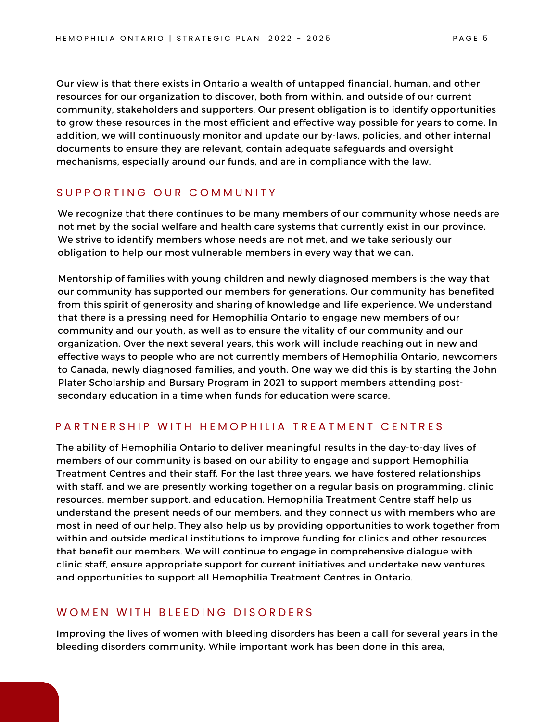Our view is that there exists in Ontario a wealth of untapped financial, human, and other resources for our organization to discover, both from within, and outside of our current community, stakeholders and supporters. Our present obligation is to identify opportunities to grow these resources in the most efficient and effective way possible for years to come. In addition, we will continuously monitor and update our by-laws, policies, and other internal documents to ensure they are relevant, contain adequate safeguards and oversight mechanisms, especially around our funds, and are in compliance with the law.

### SUPPORTING OUR COMMUNITY

We recognize that there continues to be many members of our community whose needs are not met by the social welfare and health care systems that currently exist in our province. We strive to identify members whose needs are not met, and we take seriously our obligation to help our most vulnerable members in every way that we can.

Mentorship of families with young children and newly diagnosed members is the way that our community has supported our members for generations. Our community has benefited from this spirit of generosity and sharing of knowledge and life experience. We understand that there is a pressing need for Hemophilia Ontario to engage new members of our community and our youth, as well as to ensure the vitality of our community and our organization. Over the next several years, this work will include reaching out in new and effective ways to people who are not currently members of Hemophilia Ontario, newcomers to Canada, newly diagnosed families, and youth. One way we did this is by starting the John Plater Scholarship and Bursary Program in 2021 to support members attending postsecondary education in a time when funds for education were scarce.

### PARTNERSHIP WITH HEMOPHILIA TREATMENT CENTRES

The ability of Hemophilia Ontario to deliver meaningful results in the day-to-day lives of members of our community is based on our ability to engage and support Hemophilia Treatment Centres and their staff. For the last three years, we have fostered relationships with staff, and we are presently working together on a regular basis on programming, clinic resources, member support, and education. Hemophilia Treatment Centre staff help us understand the present needs of our members, and they connect us with members who are most in need of our help. They also help us by providing opportunities to work together from within and outside medical institutions to improve funding for clinics and other resources that benefit our members. We will continue to engage in comprehensive dialogue with clinic staff, ensure appropriate support for current initiatives and undertake new ventures and opportunities to support all Hemophilia Treatment Centres in Ontario.

### WOMEN WITH BLEEDING DISORDERS

Improving the lives of women with bleeding disorders has been a call for several years in the bleeding disorders community. While important work has been done in this area,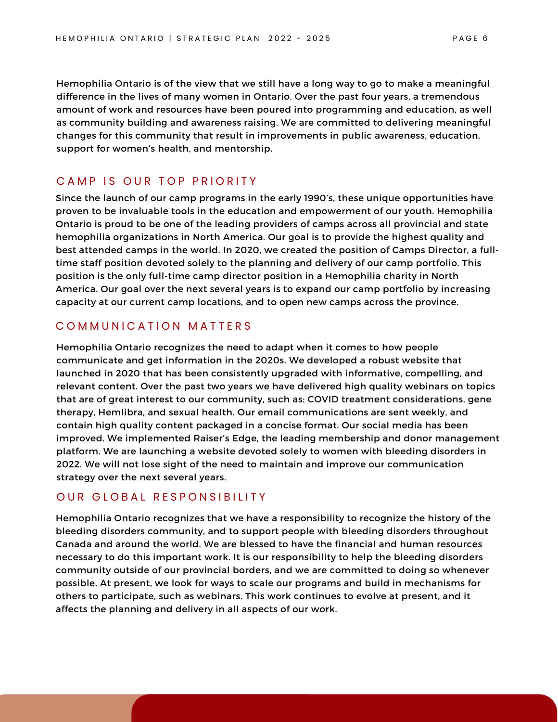Hemophilia Ontario is of the view that we still have a long way to go to make a meaningful difference in the lives of many women in Ontario. Over the past four years, a tremendous amount of work and resources have been poured into programming and education, as well as community building and awareness raising. We are committed to delivering meaningful changes for this community that result in improvements in public awareness, education, support for women's health, and mentorship.

### CAMP IS OUR TOP PRIORITY

Since the launch of our camp programs in the early 1990's, these unique opportunities have proven to be invaluable tools in the education and empowerment of our youth. Hemophilia Ontario is proud to be one of the leading providers of camps across all provincial and state hemophilia organizations in North America. Our goal is to provide the highest quality and best attended camps in the world. In 2020, we created the position of Camps Director, a fulltime staff position devoted solely to the planning and delivery of our camp portfolio. This position is the only full-time camp director position in a Hemophilia charity in North America. Our goal over the next several years is to expand our camp portfolio by increasing capacity at our current camp locations, and to open new camps across the province.

### COMMUNICATION MATTERS

Hemophilia Ontario recognizes the need to adapt when it comes to how people communicate and get information in the 2020s. We developed a robust website that launched in 2020 that has been consistently upgraded with informative, compelling, and relevant content. Over the past two years we have delivered high quality webinars on topics that are of great interest to our community, such as: COVID treatment considerations, gene therapy, Hemlibra, and sexual health. Our email communications are sent weekly, and contain high quality content packaged in a concise format. Our social media has been improved. We implemented Raiser's Edge, the leading membership and donor management platform. We are launching a website devoted solely to women with bleeding disorders in 2022. We will not lose sight of the need to maintain and improve our communication strategy over the next several years.

### OUR GLOBAL RESPONSIBILITY

Hemophilia Ontario recognizes that we have a responsibility to recognize the history of the bleeding disorders community, and to support people with bleeding disorders throughout Canada and around the world. We are blessed to have the financial and human resources necessary to do this important work. It is our responsibility to help the bleeding disorders community outside of our provincial borders, and we are committed to doing so whenever possible. At present, we look for ways to scale our programs and build in mechanisms for others to participate, such as webinars. This work continues to evolve at present, and it affects the planning and delivery in all aspects of our work.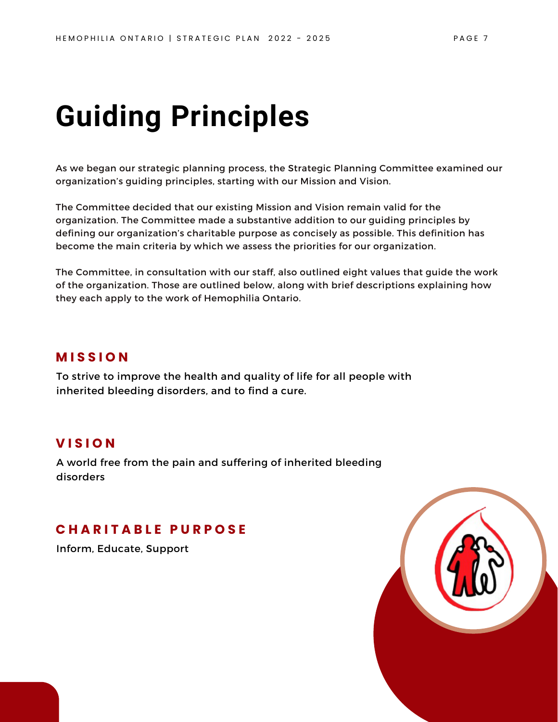## **Guiding Principles**

As we began our strategic planning process, the Strategic Planning Committee examined our organization's guiding principles, starting with our Mission and Vision.

The Committee decided that our existing Mission and Vision remain valid for the organization. The Committee made a substantive addition to our guiding principles by defining our organization's charitable purpose as concisely as possible. This definition has become the main criteria by which we assess the priorities for our organization.

The Committee, in consultation with our staff, also outlined eight values that guide the work of the organization. Those are outlined below, along with brief descriptions explaining how they each apply to the work of Hemophilia Ontario.

### **M I S S I O N**

To strive to improve the health and quality of life for all people with inherited bleeding disorders, and to find a cure.

### **V I S I O N**

A world free from the pain and suffering of inherited bleeding disorders

### **C H A R I T A B L E P U R P O S E**

Inform, Educate, Support

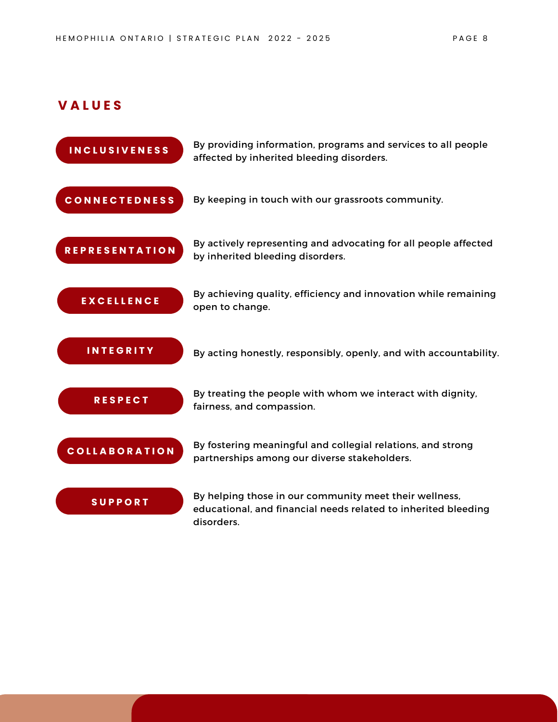### **V A L U E S**

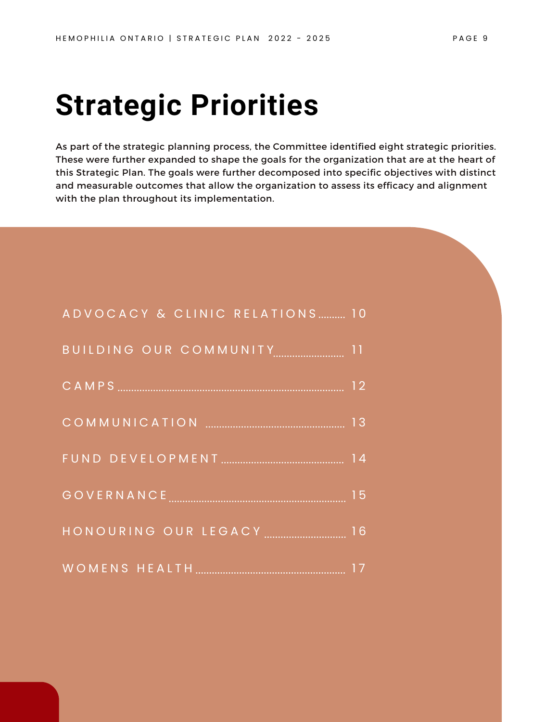## **Strategic Priorities**

As part of the strategic planning process, the Committee identified eight strategic priorities. These were further expanded to shape the goals for the organization that are at the heart of this Strategic Plan. The goals were further decomposed into specific objectives with distinct and measurable outcomes that allow the organization to assess its efficacy and alignment with the plan throughout its implementation.

| ADVOCACY & CLINIC RELATIONS 10                        |  |
|-------------------------------------------------------|--|
| BUILDING OUR COMMUNITY [[[[[[[[[[[[[[[[[[[[[[]]]]]]]] |  |
|                                                       |  |
|                                                       |  |
|                                                       |  |
|                                                       |  |
| HONOURING OUR LEGACY  16                              |  |
|                                                       |  |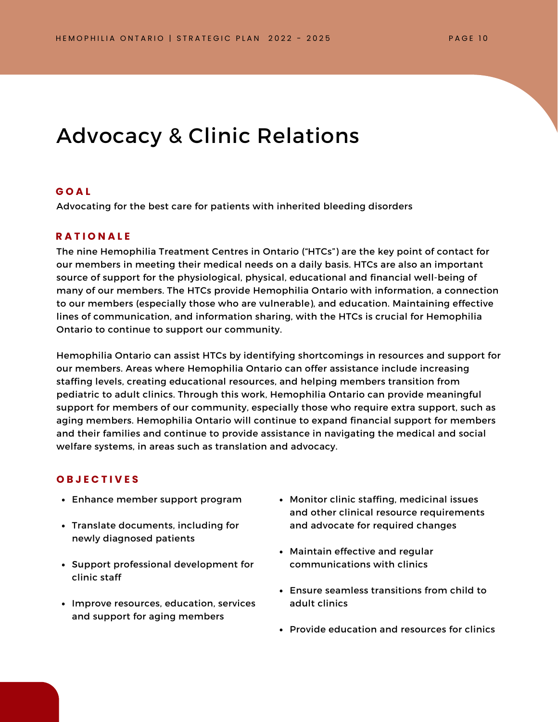### Advocacy & Clinic Relations

#### **G O A L**

Advocating for the best care for patients with inherited bleeding disorders

### **R A T I O N A L E**

The nine Hemophilia Treatment Centres in Ontario ("HTCs") are the key point of contact for our members in meeting their medical needs on a daily basis. HTCs are also an important source of support for the physiological, physical, educational and financial well-being of many of our members. The HTCs provide Hemophilia Ontario with information, a connection to our members (especially those who are vulnerable), and education. Maintaining effective lines of communication, and information sharing, with the HTCs is crucial for Hemophilia Ontario to continue to support our community.

Hemophilia Ontario can assist HTCs by identifying shortcomings in resources and support for our members. Areas where Hemophilia Ontario can offer assistance include increasing staffing levels, creating educational resources, and helping members transition from pediatric to adult clinics. Through this work, Hemophilia Ontario can provide meaningful support for members of our community, especially those who require extra support, such as aging members. Hemophilia Ontario will continue to expand financial support for members and their families and continue to provide assistance in navigating the medical and social welfare systems, in areas such as translation and advocacy.

- Enhance member support program
- Translate documents, including for newly diagnosed patients
- Support professional development for clinic staff
- Improve resources, education, services and support for aging members
- Monitor clinic staffing, medicinal issues and other clinical resource requirements and advocate for required changes
- Maintain effective and regular communications with clinics
- Ensure seamless transitions from child to adult clinics
- Provide education and resources for clinics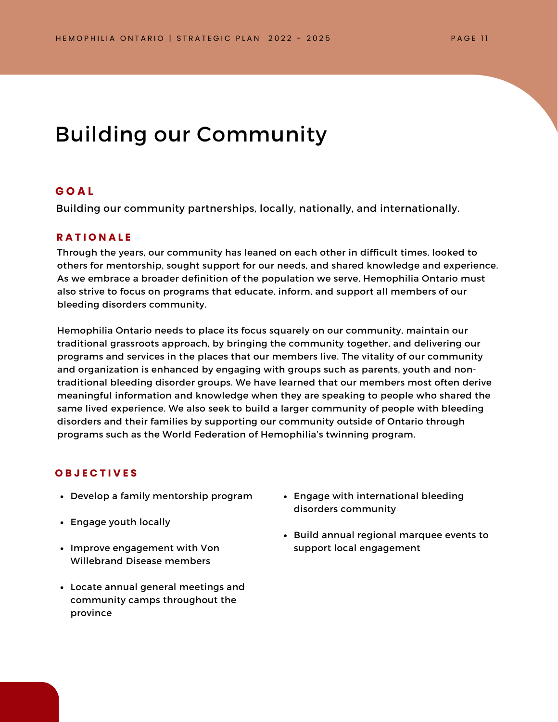### Building our Community

### **G O A L**

Building our community partnerships, locally, nationally, and internationally.

### **R A T I O N A L E**

Through the years, our community has leaned on each other in difficult times, looked to others for mentorship, sought support for our needs, and shared knowledge and experience. As we embrace a broader definition of the population we serve, Hemophilia Ontario must also strive to focus on programs that educate, inform, and support all members of our bleeding disorders community.

Hemophilia Ontario needs to place its focus squarely on our community, maintain our traditional grassroots approach, by bringing the community together, and delivering our programs and services in the places that our members live. The vitality of our community and organization is enhanced by engaging with groups such as parents, youth and nontraditional bleeding disorder groups. We have learned that our members most often derive meaningful information and knowledge when they are speaking to people who shared the same lived experience. We also seek to build a larger community of people with bleeding disorders and their families by supporting our community outside of Ontario through programs such as the World Federation of Hemophilia's twinning program.

- Develop a family mentorship program
- Engage youth locally
- Improve engagement with Von Willebrand Disease members
- Locate annual general meetings and community camps throughout the province
- Engage with international bleeding disorders community
- Build annual regional marquee events to support local engagement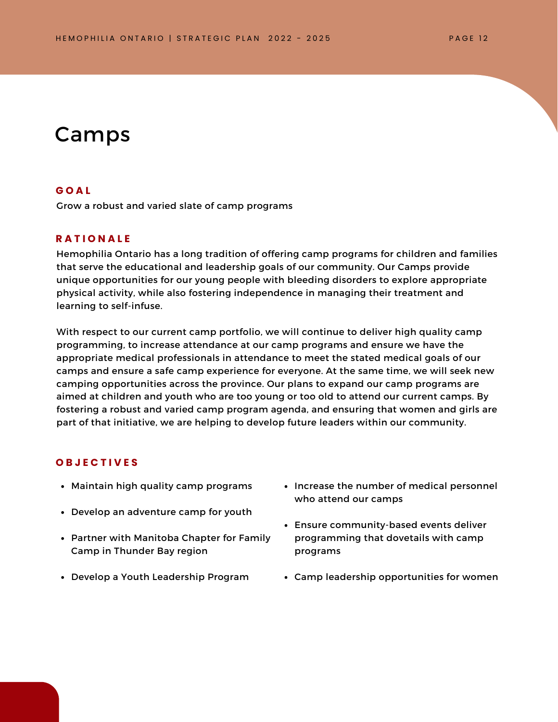### Camps

#### **G O A L**

Grow a robust and varied slate of camp programs

### **R A T I O N A L E**

Hemophilia Ontario has a long tradition of offering camp programs for children and families that serve the educational and leadership goals of our community. Our Camps provide unique opportunities for our young people with bleeding disorders to explore appropriate physical activity, while also fostering independence in managing their treatment and learning to self-infuse.

With respect to our current camp portfolio, we will continue to deliver high quality camp programming, to increase attendance at our camp programs and ensure we have the appropriate medical professionals in attendance to meet the stated medical goals of our camps and ensure a safe camp experience for everyone. At the same time, we will seek new camping opportunities across the province. Our plans to expand our camp programs are aimed at children and youth who are too young or too old to attend our current camps. By fostering a robust and varied camp program agenda, and ensuring that women and girls are part of that initiative, we are helping to develop future leaders within our community.

- Maintain high quality camp programs
- Develop an adventure camp for youth
- Partner with Manitoba Chapter for Family Camp in Thunder Bay region
- Develop a Youth Leadership Program
- Increase the number of medical personnel who attend our camps
- Ensure community-based events deliver programming that dovetails with camp programs
- Camp leadership opportunities for women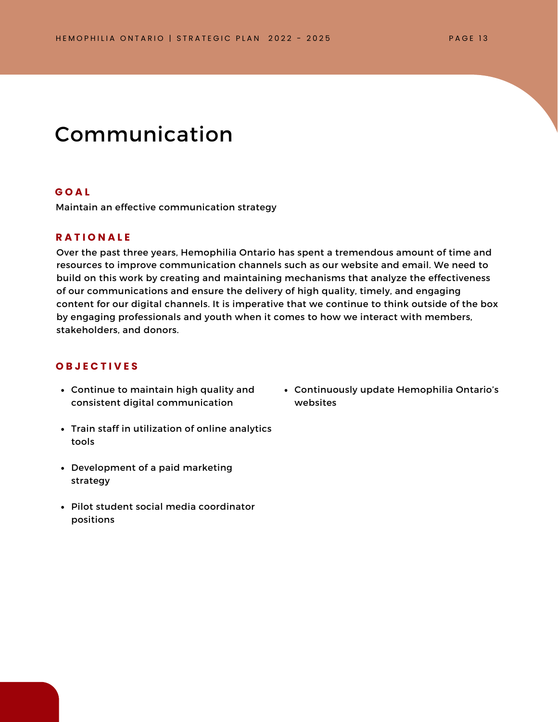### Communication

### **G O A L**

Maintain an effective communication strategy

### **R A T I O N A L E**

Over the past three years, Hemophilia Ontario has spent a tremendous amount of time and resources to improve communication channels such as our website and email. We need to build on this work by creating and maintaining mechanisms that analyze the effectiveness of our communications and ensure the delivery of high quality, timely, and engaging content for our digital channels. It is imperative that we continue to think outside of the box by engaging professionals and youth when it comes to how we interact with members, stakeholders, and donors.

### **O B J E C T I V E S**

- Continue to maintain high quality and consistent digital communication
- Train staff in utilization of online analytics tools
- Development of a paid marketing strategy
- Pilot student social media coordinator positions

Continuously update Hemophilia Ontario's websites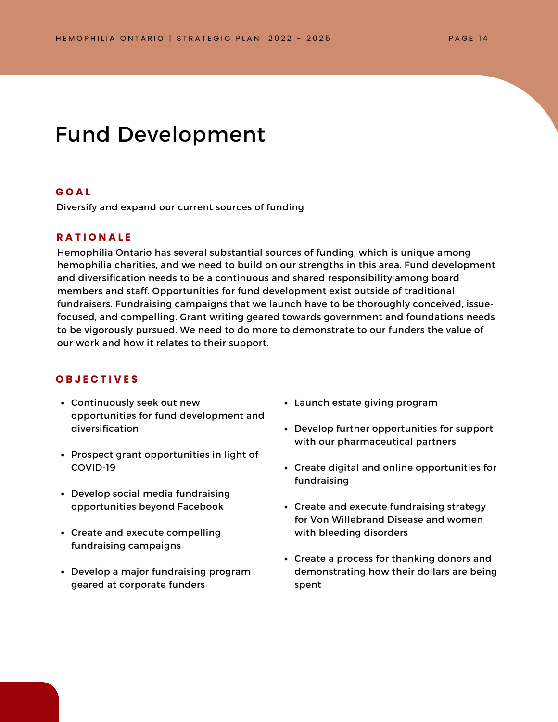### Fund Development

### **G O A L**

Diversify and expand our current sources of funding

### **R A T I O N A L E**

Hemophilia Ontario has several substantial sources of funding, which is unique among hemophilia charities, and we need to build on our strengths in this area. Fund development and diversification needs to be a continuous and shared responsibility among board members and staff. Opportunities for fund development exist outside of traditional fundraisers. Fundraising campaigns that we launch have to be thoroughly conceived, issuefocused, and compelling. Grant writing geared towards government and foundations needs to be vigorously pursued. We need to do more to demonstrate to our funders the value of our work and how it relates to their support.

- Continuously seek out new opportunities for fund development and diversification
- Prospect grant opportunities in light of COVID-19
- Develop social media fundraising opportunities beyond Facebook
- Create and execute compelling fundraising campaigns
- Develop a major fundraising program geared at corporate funders
- Launch estate giving program
- Develop further opportunities for support with our pharmaceutical partners
- Create digital and online opportunities for fundraising
- Create and execute fundraising strategy for Von Willebrand Disease and women with bleeding disorders
- Create a process for thanking donors and demonstrating how their dollars are being spent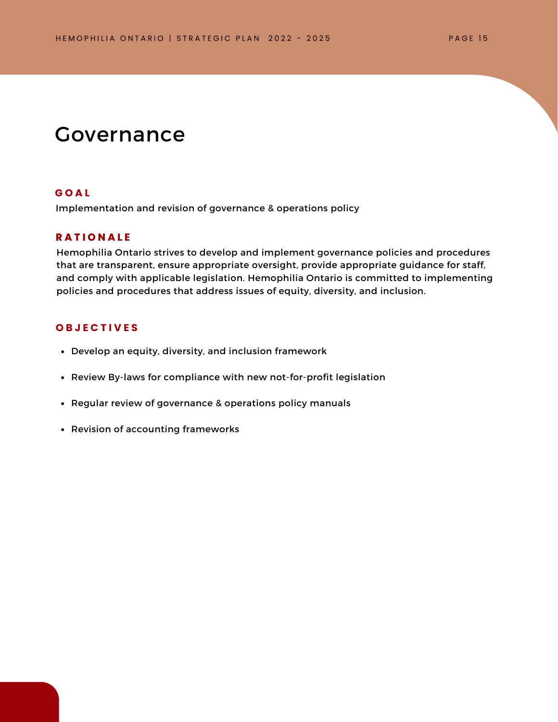### Governance

#### **G O A L**

Implementation and revision of governance & operations policy

### **R A T I O N A L E**

Hemophilia Ontario strives to develop and implement governance policies and procedures that are transparent, ensure appropriate oversight, provide appropriate guidance for staff, and comply with applicable legislation. Hemophilia Ontario is committed to implementing policies and procedures that address issues of equity, diversity, and inclusion.

- Develop an equity, diversity, and inclusion framework
- Review By-laws for compliance with new not-for-profit legislation
- Regular review of governance & operations policy manuals
- Revision of accounting frameworks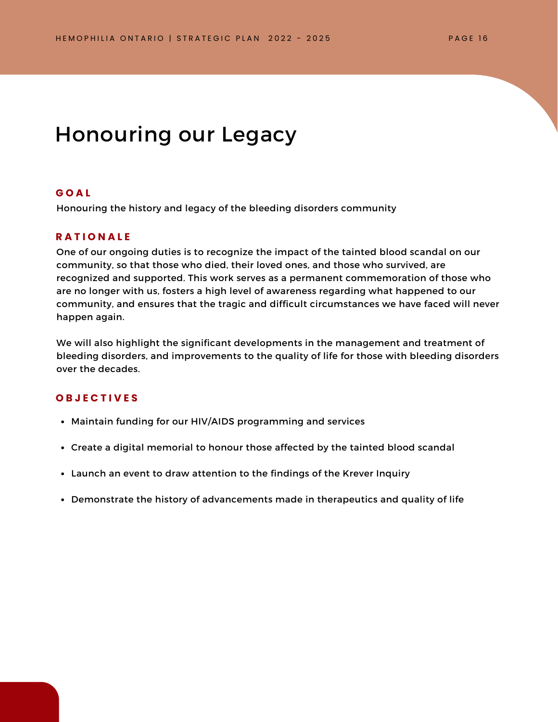### Honouring our Legacy

#### **G O A L**

Honouring the history and legacy of the bleeding disorders community

### **R A T I O N A L E**

One of our ongoing duties is to recognize the impact of the tainted blood scandal on our community, so that those who died, their loved ones, and those who survived, are recognized and supported. This work serves as a permanent commemoration of those who are no longer with us, fosters a high level of awareness regarding what happened to our community, and ensures that the tragic and difficult circumstances we have faced will never happen again.

We will also highlight the significant developments in the management and treatment of bleeding disorders, and improvements to the quality of life for those with bleeding disorders over the decades.

- Maintain funding for our HIV/AIDS programming and services
- Create a digital memorial to honour those affected by the tainted blood scandal
- Launch an event to draw attention to the findings of the Krever Inquiry
- Demonstrate the history of advancements made in therapeutics and quality of life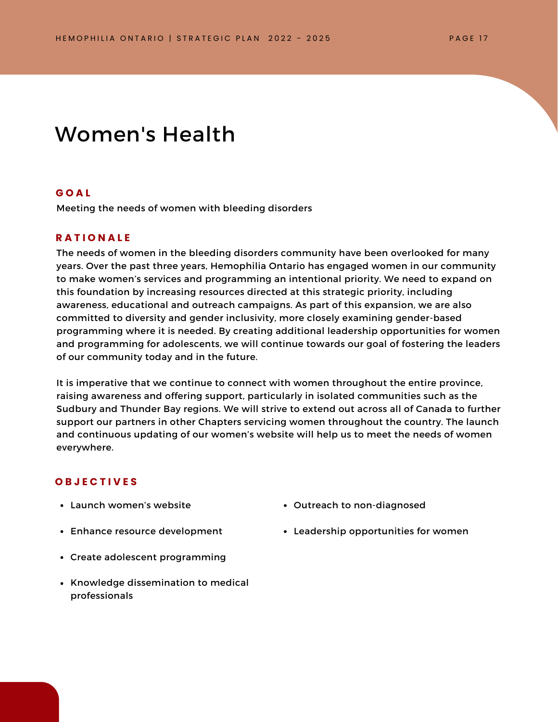### Women's Health

#### **G O A L**

Meeting the needs of women with bleeding disorders

### **R A T I O N A L E**

The needs of women in the bleeding disorders community have been overlooked for many years. Over the past three years, Hemophilia Ontario has engaged women in our community to make women's services and programming an intentional priority. We need to expand on this foundation by increasing resources directed at this strategic priority, including awareness, educational and outreach campaigns. As part of this expansion, we are also committed to diversity and gender inclusivity, more closely examining gender-based programming where it is needed. By creating additional leadership opportunities for women and programming for adolescents, we will continue towards our goal of fostering the leaders of our community today and in the future.

It is imperative that we continue to connect with women throughout the entire province, raising awareness and offering support, particularly in isolated communities such as the Sudbury and Thunder Bay regions. We will strive to extend out across all of Canada to further support our partners in other Chapters servicing women throughout the country. The launch and continuous updating of our women's website will help us to meet the needs of women everywhere.

- Launch women's website
- Enhance resource development
- Create adolescent programming
- Knowledge dissemination to medical professionals
- Outreach to non-diagnosed
- Leadership opportunities for women